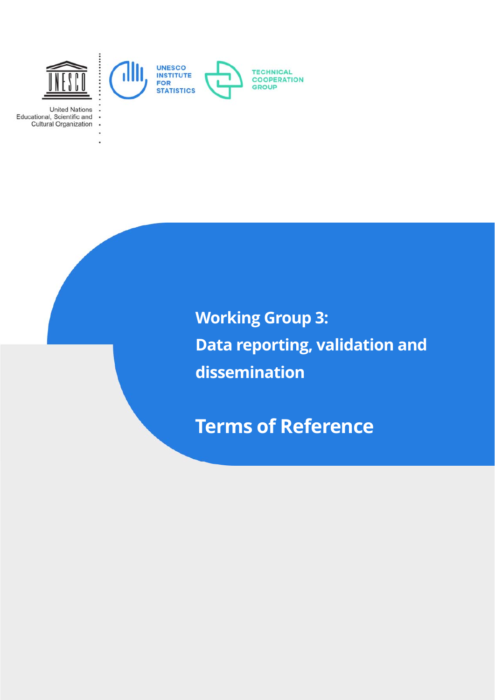

**United Nations** Educational, Scientific and Cultural Organization

> i. ä,

> > **Working Group 3: Data reporting, validation and dissemination**

**Terms of Reference**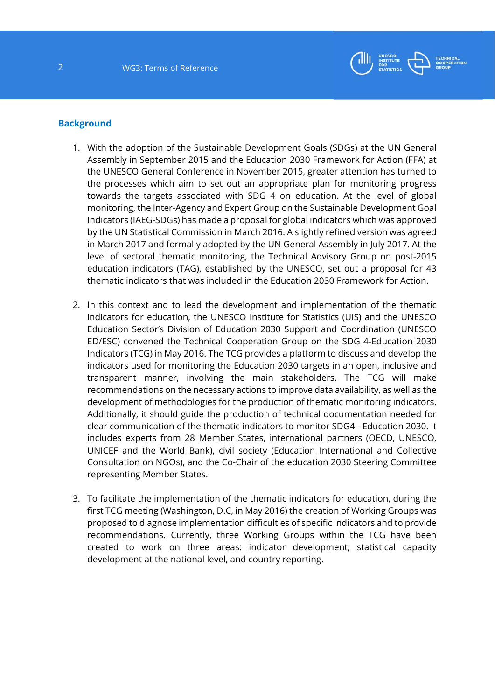

#### **Background**

- 1. With the adoption of the Sustainable Development Goals (SDGs) at the UN General Assembly in September 2015 and the Education 2030 Framework for Action (FFA) at the UNESCO General Conference in November 2015, greater attention has turned to the processes which aim to set out an appropriate plan for monitoring progress towards the targets associated with SDG 4 on education. At the level of global monitoring, the Inter-Agency and Expert Group on the Sustainable Development Goal Indicators (IAEG-SDGs) has made a proposal for global indicators which was approved by the UN Statistical Commission in March 2016. A slightly refined version was agreed in March 2017 and formally adopted by the UN General Assembly in July 2017. At the level of sectoral thematic monitoring, the Technical Advisory Group on post-2015 education indicators (TAG), established by the UNESCO, set out a proposal for 43 thematic indicators that was included in the Education 2030 Framework for Action.
- 2. In this context and to lead the development and implementation of the thematic indicators for education, the UNESCO Institute for Statistics (UIS) and the UNESCO Education Sector's Division of Education 2030 Support and Coordination (UNESCO ED/ESC) convened the Technical Cooperation Group on the SDG 4-Education 2030 Indicators (TCG) in May 2016. The TCG provides a platform to discuss and develop the indicators used for monitoring the Education 2030 targets in an open, inclusive and transparent manner, involving the main stakeholders. The TCG will make recommendations on the necessary actions to improve data availability, as well as the development of methodologies for the production of thematic monitoring indicators. Additionally, it should guide the production of technical documentation needed for clear communication of the thematic indicators to monitor SDG4 - Education 2030. It includes experts from 28 Member States, international partners (OECD, UNESCO, UNICEF and the World Bank), civil society (Education International and Collective Consultation on NGOs), and the Co-Chair of the education 2030 Steering Committee representing Member States.
- 3. To facilitate the implementation of the thematic indicators for education, during the first TCG meeting (Washington, D.C, in May 2016) the creation of Working Groups was proposed to diagnose implementation difficulties of specific indicators and to provide recommendations. Currently, three Working Groups within the TCG have been created to work on three areas: indicator development, statistical capacity development at the national level, and country reporting.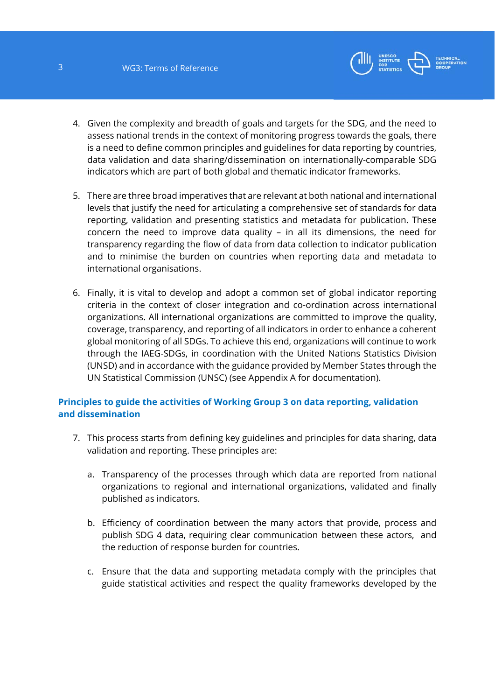

- 4. Given the complexity and breadth of goals and targets for the SDG, and the need to assess national trends in the context of monitoring progress towards the goals, there is a need to define common principles and guidelines for data reporting by countries, data validation and data sharing/dissemination on internationally-comparable SDG indicators which are part of both global and thematic indicator frameworks.
- 5. There are three broad imperatives that are relevant at both national and international levels that justify the need for articulating a comprehensive set of standards for data reporting, validation and presenting statistics and metadata for publication. These concern the need to improve data quality – in all its dimensions, the need for transparency regarding the flow of data from data collection to indicator publication and to minimise the burden on countries when reporting data and metadata to international organisations.
- 6. Finally, it is vital to develop and adopt a common set of global indicator reporting criteria in the context of closer integration and co-ordination across international organizations. All international organizations are committed to improve the quality, coverage, transparency, and reporting of all indicators in order to enhance a coherent global monitoring of all SDGs. To achieve this end, organizations will continue to work through the IAEG-SDGs, in coordination with the United Nations Statistics Division (UNSD) and in accordance with the guidance provided by Member States through the UN Statistical Commission (UNSC) (see Appendix A for documentation).

# **Principles to guide the activities of Working Group 3 on data reporting, validation and dissemination**

- 7. This process starts from defining key guidelines and principles for data sharing, data validation and reporting. These principles are:
	- a. Transparency of the processes through which data are reported from national organizations to regional and international organizations, validated and finally published as indicators.
	- b. Efficiency of coordination between the many actors that provide, process and publish SDG 4 data, requiring clear communication between these actors, and the reduction of response burden for countries.
	- c. Ensure that the data and supporting metadata comply with the principles that guide statistical activities and respect the quality frameworks developed by the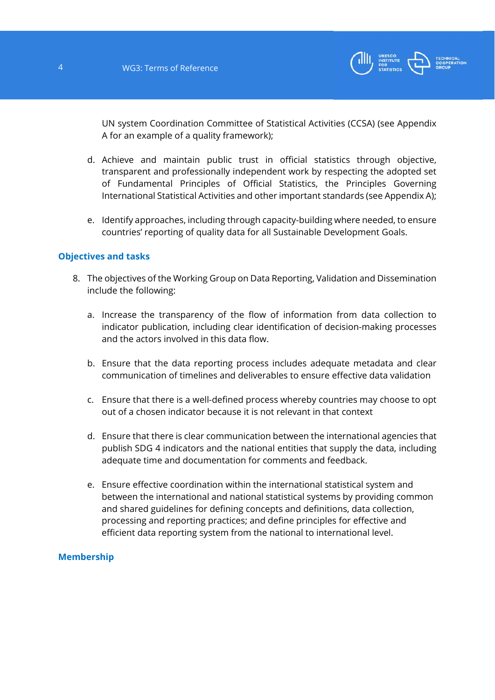

UN system Coordination Committee of Statistical Activities (CCSA) (see Appendix A for an example of a quality framework);

- d. Achieve and maintain public trust in official statistics through objective, transparent and professionally independent work by respecting the adopted set of Fundamental Principles of Official Statistics, the Principles Governing International Statistical Activities and other important standards (see Appendix A);
- e. Identify approaches, including through capacity-building where needed, to ensure countries' reporting of quality data for all Sustainable Development Goals.

## **Objectives and tasks**

- 8. The objectives of the Working Group on Data Reporting, Validation and Dissemination include the following:
	- a. Increase the transparency of the flow of information from data collection to indicator publication, including clear identification of decision-making processes and the actors involved in this data flow.
	- b. Ensure that the data reporting process includes adequate metadata and clear communication of timelines and deliverables to ensure effective data validation
	- c. Ensure that there is a well-defined process whereby countries may choose to opt out of a chosen indicator because it is not relevant in that context
	- d. Ensure that there is clear communication between the international agencies that publish SDG 4 indicators and the national entities that supply the data, including adequate time and documentation for comments and feedback.
	- e. Ensure effective coordination within the international statistical system and between the international and national statistical systems by providing common and shared guidelines for defining concepts and definitions, data collection, processing and reporting practices; and define principles for effective and efficient data reporting system from the national to international level.

## **Membership**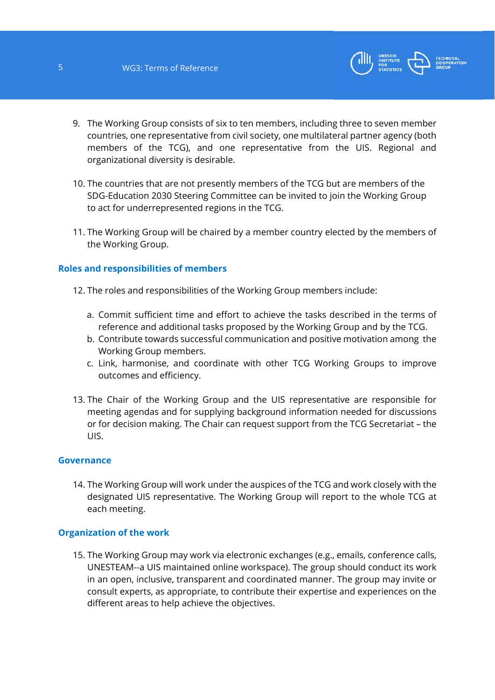

- 9. The Working Group consists of six to ten members, including three to seven member countries, one representative from civil society, one multilateral partner agency (both members of the TCG), and one representative from the UIS. Regional and organizational diversity is desirable.
- 10. The countries that are not presently members of the TCG but are members of the SDG-Education 2030 Steering Committee can be invited to join the Working Group to act for underrepresented regions in the TCG.
- 11. The Working Group will be chaired by a member country elected by the members of the Working Group.

## **Roles and responsibilities of members**

- 12. The roles and responsibilities of the Working Group members include:
	- a. Commit sufficient time and effort to achieve the tasks described in the terms of reference and additional tasks proposed by the Working Group and by the TCG.
	- b. Contribute towards successful communication and positive motivation among the Working Group members.
	- c. Link, harmonise, and coordinate with other TCG Working Groups to improve outcomes and efficiency.
- 13. The Chair of the Working Group and the UIS representative are responsible for meeting agendas and for supplying background information needed for discussions or for decision making. The Chair can request support from the TCG Secretariat – the UIS.

## **Governance**

14. The Working Group will work under the auspices of the TCG and work closely with the designated UIS representative. The Working Group will report to the whole TCG at each meeting.

## **Organization of the work**

15. The Working Group may work via electronic exchanges (e.g., emails, conference calls, UNESTEAM--a UIS maintained online workspace). The group should conduct its work in an open, inclusive, transparent and coordinated manner. The group may invite or consult experts, as appropriate, to contribute their expertise and experiences on the different areas to help achieve the objectives.